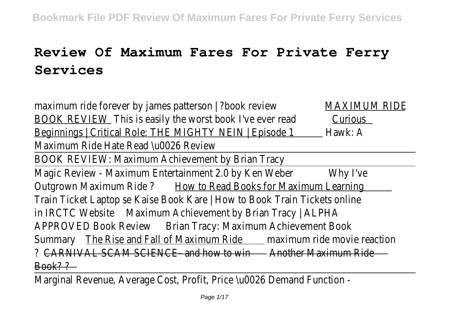# **Review Of Maximum Fares For Private Ferry Services**

maximum ride forever by james patterson | ?book review MAXIMUM RIDE BOOK REVIEW This is easily the worst book I've ever read Curious Beginnings | Critical Role: THE MIGHTY NEIN | Episode 1 \_\_ Hawk: A Maximum Ride Hate Read \u0026 Review

BOOK REVIEW: Maximum Achievement by Brian Tracy

Magic Review - Maximum Entertainment 2.0 by Ken Weber Why I've Outgrown Maximum Ride ? How to Read Books for Maximum Learning Train Ticket Laptop se Kaise Book Kare | How to Book Train Tickets online in IRCTC Website Maximum Achievement by Brian Tracy | ALPHA APPROVED Book Review Brian Tracy: Maximum Achievement Book Summary The Rise and Fall of Maximum Ride maximum ride movie reaction ? CARNIVAL SCAM SCIENCE- and how to win - Another Maximum Ride  $Book??$ 

Marginal Revenue, Average Cost, Profit, Price \u0026 Demand Function -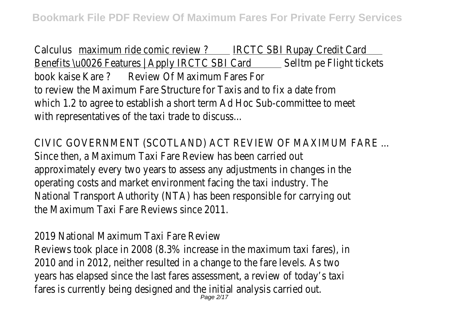Calculus maximum ride comic review ? IRCTC SBI Rupay Credit Card Benefits \u0026 Features | Apply IRCTC SBI Card Selltm pe Flight tickets book kaise Kare ? Review Of Maximum Fares For to review the Maximum Fare Structure for Taxis and to fix a date from which 1.2 to agree to establish a short term Ad Hoc Sub-committee to meet with representatives of the taxi trade to discuss...

CIVIC GOVERNMENT (SCOTLAND) ACT REVIEW OF MAXIMUM FARE ... Since then, a Maximum Taxi Fare Review has been carried out approximately every two years to assess any adjustments in changes in the operating costs and market environment facing the taxi industry. The National Transport Authority (NTA) has been responsible for carrying out the Maximum Taxi Fare Reviews since 2011.

2019 National Maximum Taxi Fare Review

Reviews took place in 2008 (8.3% increase in the maximum taxi fares), in 2010 and in 2012, neither resulted in a change to the fare levels. As two years has elapsed since the last fares assessment, a review of today's taxi fares is currently being designed and the initial analysis carried out. Page 2/17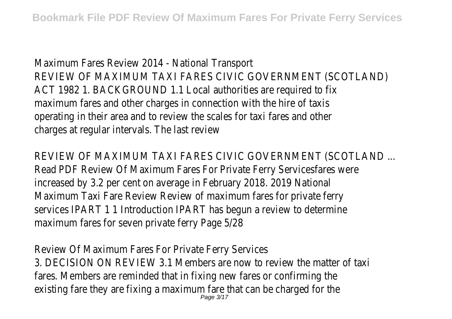Maximum Fares Review 2014 - National Transport REVIEW OF MAXIMUM TAXI FARES CIVIC GOVERNMENT (SCOTLAND) ACT 1982 1. BACKGROUND 1.1 Local authorities are required to fix maximum fares and other charges in connection with the hire of taxis operating in their area and to review the scales for taxi fares and other charges at regular intervals. The last review

REVIEW OF MAXIMUM TAXI FARES CIVIC GOVERNMENT (SCOTLAND ... Read PDF Review Of Maximum Fares For Private Ferry Servicesfares were increased by 3.2 per cent on average in February 2018. 2019 National Maximum Taxi Fare Review Review of maximum fares for private ferry services IPART 1 1 Introduction IPART has begun a review to determine maximum fares for seven private ferry Page 5/28

Review Of Maximum Fares For Private Ferry Services 3. DECISION ON REVIEW 3.1 Members are now to review the matter of taxi fares. Members are reminded that in fixing new fares or confirming the existing fare they are fixing a maximum fare that can be charged for the Page 3/17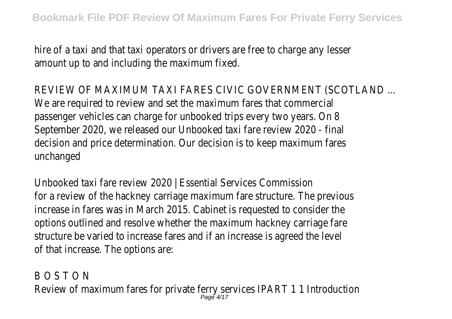hire of a taxi and that taxi operators or drivers are free to charge any lesser amount up to and including the maximum fixed.

REVIEW OF MAXIMUM TAXI FARES CIVIC GOVERNMENT (SCOTLAND ... We are required to review and set the maximum fares that commercial passenger vehicles can charge for unbooked trips every two years. On 8 September 2020, we released our Unbooked taxi fare review 2020 - final decision and price determination. Our decision is to keep maximum fares unchanged

Unbooked taxi fare review 2020 | Essential Services Commission for a review of the hackney carriage maximum fare structure. The previous increase in fares was in March 2015. Cabinet is requested to consider the options outlined and resolve whether the maximum hackney carriage fare structure be varied to increase fares and if an increase is agreed the level of that increase. The options are:

B O S T O N Review of maximum fares for private ferry services IPART 1 1 Introduction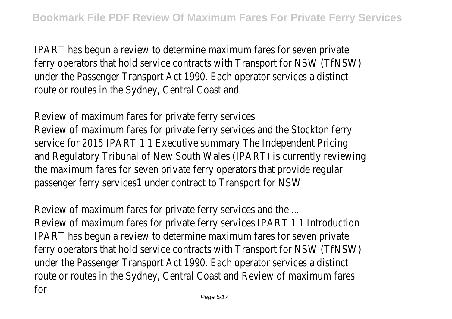IPART has begun a review to determine maximum fares for seven private ferry operators that hold service contracts with Transport for NSW (TfNSW) under the Passenger Transport Act 1990. Each operator services a distinct route or routes in the Sydney, Central Coast and

Review of maximum fares for private ferry services Review of maximum fares for private ferry services and the Stockton ferry service for 2015 IPART 1 1 Executive summary The Independent Pricing and Regulatory Tribunal of New South Wales (IPART) is currently reviewing the maximum fares for seven private ferry operators that provide regular passenger ferry services1 under contract to Transport for NSW

Review of maximum fares for private ferry services and the ... Review of maximum fares for private ferry services IPART 1 1 Introduction IPART has begun a review to determine maximum fares for seven private ferry operators that hold service contracts with Transport for NSW (TfNSW) under the Passenger Transport Act 1990. Each operator services a distinct route or routes in the Sydney, Central Coast and Review of maximum fares for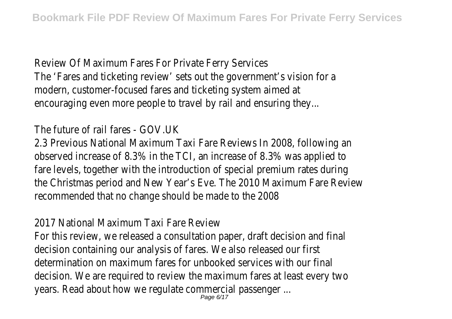Review Of Maximum Fares For Private Ferry Services The 'Fares and ticketing review' sets out the government's vision for a modern, customer-focused fares and ticketing system aimed at encouraging even more people to travel by rail and ensuring they...

# The future of rail fares - GOV.UK

2.3 Previous National Maximum Taxi Fare Reviews In 2008, following an observed increase of 8.3% in the TCI, an increase of 8.3% was applied to fare levels, together with the introduction of special premium rates during the Christmas period and New Year's Eve. The 2010 Maximum Fare Review recommended that no change should be made to the 2008

2017 National Maximum Taxi Fare Review

For this review, we released a consultation paper, draft decision and final decision containing our analysis of fares. We also released our first determination on maximum fares for unbooked services with our final decision. We are required to review the maximum fares at least every two years. Read about how we regulate commercial passenger ... Page 6/17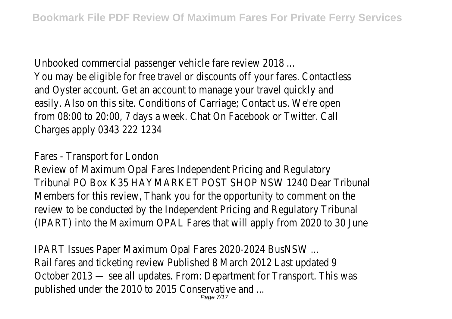Unbooked commercial passenger vehicle fare review 2018 ... You may be eligible for free travel or discounts off your fares. Contactless and Oyster account. Get an account to manage your travel quickly and easily. Also on this site. Conditions of Carriage; Contact us. We're open from 08:00 to 20:00, 7 days a week. Chat On Facebook or Twitter. Call Charges apply 0343 222 1234

#### Fares - Transport for London

Review of Maximum Opal Fares Independent Pricing and Regulatory Tribunal PO Box K35 HAYMARKET POST SHOP NSW 1240 Dear Tribunal Members for this review, Thank you for the opportunity to comment on the review to be conducted by the Independent Pricing and Regulatory Tribunal (IPART) into the Maximum OPAL Fares that will apply from 2020 to 30 June

IPART Issues Paper Maximum Opal Fares 2020-2024 BusNSW ... Rail fares and ticketing review Published 8 March 2012 Last updated 9 October 2013 — see all updates. From: Department for Transport. This was published under the 2010 to 2015 Conservative and ... Page 7/17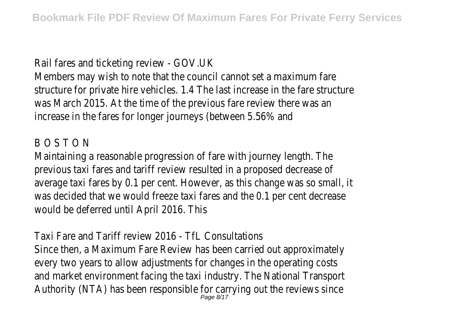#### Rail fares and ticketing review - GOV.UK

Members may wish to note that the council cannot set a maximum fare structure for private hire vehicles. 1.4 The last increase in the fare structure was March 2015. At the time of the previous fare review there was an increase in the fares for longer journeys (between 5.56% and

#### B O S T O N

Maintaining a reasonable progression of fare with journey length. The previous taxi fares and tariff review resulted in a proposed decrease of average taxi fares by 0.1 per cent. However, as this change was so small, it was decided that we would freeze taxi fares and the 0.1 per cent decrease would be deferred until April 2016. This

Taxi Fare and Tariff review 2016 - TfL Consultations Since then, a Maximum Fare Review has been carried out approximately every two years to allow adjustments for changes in the operating costs and market environment facing the taxi industry. The National Transport Authority (NTA) has been responsible for carrying out the reviews since  $_{\tiny{Page\ 8/17}}$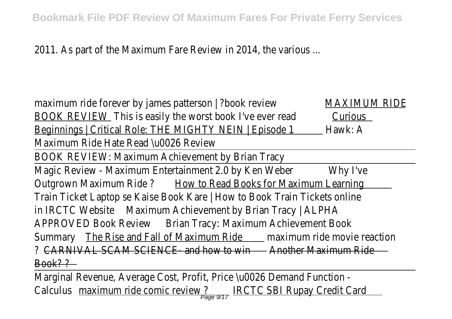2011. As part of the Maximum Fare Review in 2014, the various ...

maximum ride forever by james patterson | ?book review MAXIMUM RIDE BOOK REVIEW This is easily the worst book I've ever read Curious Beginnings | Critical Role: THE MIGHTY NEIN | Episode 1 \_\_ Hawk: A Maximum Ride Hate Read \u0026 Review

BOOK REVIEW: Maximum Achievement by Brian Tracy

Magic Review - Maximum Entertainment 2.0 by Ken Weber Why I've Outgrown Maximum Ride ? How to Read Books for Maximum Learning Train Ticket Laptop se Kaise Book Kare | How to Book Train Tickets online in IRCTC Website Maximum Achievement by Brian Tracy | ALPHA APPROVED Book Review Brian Tracy: Maximum Achievement Book Summary The Rise and Fall of Maximum Ride maximum ride movie reaction ? CARNIVAL SCAM SCIENCE- and how to win - Another Maximum Ride  $Book??$ 

Marginal Revenue, Average Cost, Profit, Price \u0026 Demand Function - Calculus <u>maximum ride comic review ? IRCTC SBI Rupay Credit Card</u>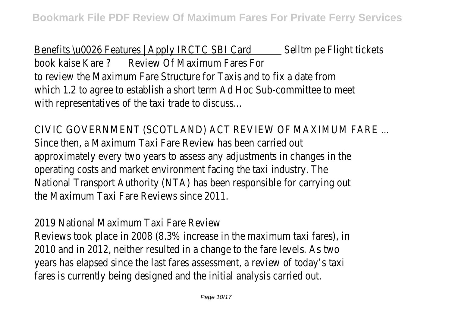Benefits \u0026 Features | Apply IRCTC SBI Card Selltm pe Flight tickets book kaise Kare ? Review Of Maximum Fares For to review the Maximum Fare Structure for Taxis and to fix a date from which 1.2 to agree to establish a short term Ad Hoc Sub-committee to meet with representatives of the taxi trade to discuss...

CIVIC GOVERNMENT (SCOTLAND) ACT REVIEW OF MAXIMUM FARE ... Since then, a Maximum Taxi Fare Review has been carried out approximately every two years to assess any adjustments in changes in the operating costs and market environment facing the taxi industry. The National Transport Authority (NTA) has been responsible for carrying out the Maximum Taxi Fare Reviews since 2011.

2019 National Maximum Taxi Fare Review

Reviews took place in 2008 (8.3% increase in the maximum taxi fares), in 2010 and in 2012, neither resulted in a change to the fare levels. As two years has elapsed since the last fares assessment, a review of today's taxi fares is currently being designed and the initial analysis carried out.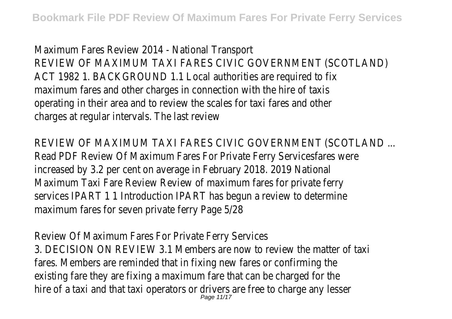Maximum Fares Review 2014 - National Transport REVIEW OF MAXIMUM TAXI FARES CIVIC GOVERNMENT (SCOTLAND) ACT 1982 1. BACKGROUND 1.1 Local authorities are required to fix maximum fares and other charges in connection with the hire of taxis operating in their area and to review the scales for taxi fares and other charges at regular intervals. The last review

REVIEW OF MAXIMUM TAXI FARES CIVIC GOVERNMENT (SCOTLAND ... Read PDF Review Of Maximum Fares For Private Ferry Servicesfares were increased by 3.2 per cent on average in February 2018. 2019 National Maximum Taxi Fare Review Review of maximum fares for private ferry services IPART 1 1 Introduction IPART has begun a review to determine maximum fares for seven private ferry Page 5/28

Review Of Maximum Fares For Private Ferry Services 3. DECISION ON REVIEW 3.1 Members are now to review the matter of taxi fares. Members are reminded that in fixing new fares or confirming the existing fare they are fixing a maximum fare that can be charged for the hire of a taxi and that taxi operators or drivers are free to charge any lesser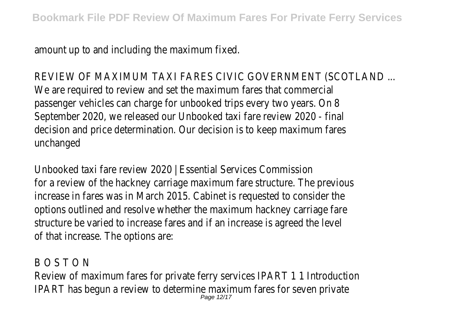amount up to and including the maximum fixed.

REVIEW OF MAXIMUM TAXI FARES CIVIC GOVERNMENT (SCOTLAND ... We are required to review and set the maximum fares that commercial passenger vehicles can charge for unbooked trips every two years. On 8 September 2020, we released our Unbooked taxi fare review 2020 - final decision and price determination. Our decision is to keep maximum fares unchanged

Unbooked taxi fare review 2020 | Essential Services Commission for a review of the hackney carriage maximum fare structure. The previous increase in fares was in March 2015. Cabinet is requested to consider the options outlined and resolve whether the maximum hackney carriage fare structure be varied to increase fares and if an increase is agreed the level of that increase. The options are:

B O S T O N Review of maximum fares for private ferry services IPART 1 1 Introduction IPART has begun a review to determine maximum fares for seven private Page 12/17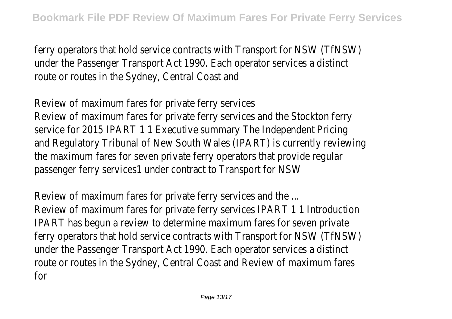ferry operators that hold service contracts with Transport for NSW (TfNSW) under the Passenger Transport Act 1990. Each operator services a distinct route or routes in the Sydney, Central Coast and

Review of maximum fares for private ferry services Review of maximum fares for private ferry services and the Stockton ferry service for 2015 IPART 1 1 Executive summary The Independent Pricing and Regulatory Tribunal of New South Wales (IPART) is currently reviewing the maximum fares for seven private ferry operators that provide regular passenger ferry services1 under contract to Transport for NSW

Review of maximum fares for private ferry services and the ... Review of maximum fares for private ferry services IPART 1 1 Introduction IPART has begun a review to determine maximum fares for seven private ferry operators that hold service contracts with Transport for NSW (TfNSW) under the Passenger Transport Act 1990. Each operator services a distinct route or routes in the Sydney, Central Coast and Review of maximum fares for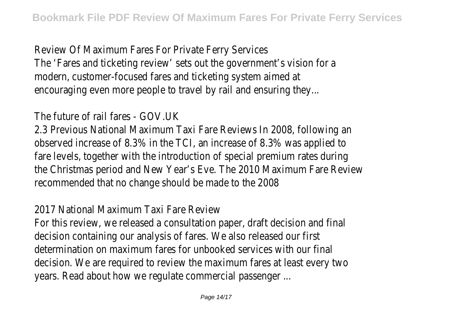Review Of Maximum Fares For Private Ferry Services The 'Fares and ticketing review' sets out the government's vision for a modern, customer-focused fares and ticketing system aimed at encouraging even more people to travel by rail and ensuring they...

The future of rail fares - GOV.UK

2.3 Previous National Maximum Taxi Fare Reviews In 2008, following an observed increase of 8.3% in the TCI, an increase of 8.3% was applied to fare levels, together with the introduction of special premium rates during the Christmas period and New Year's Eve. The 2010 Maximum Fare Review recommended that no change should be made to the 2008

2017 National Maximum Taxi Fare Review

For this review, we released a consultation paper, draft decision and final decision containing our analysis of fares. We also released our first determination on maximum fares for unbooked services with our final decision. We are required to review the maximum fares at least every two years. Read about how we regulate commercial passenger ...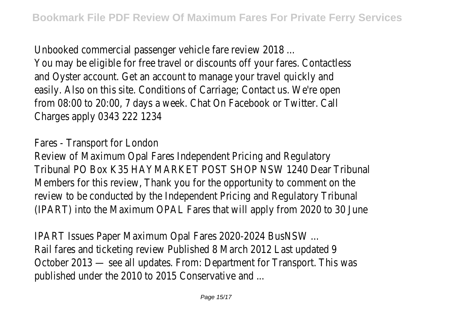Unbooked commercial passenger vehicle fare review 2018 ...

You may be eligible for free travel or discounts off your fares. Contactless and Oyster account. Get an account to manage your travel quickly and easily. Also on this site. Conditions of Carriage; Contact us. We're open from 08:00 to 20:00, 7 days a week. Chat On Facebook or Twitter. Call Charges apply 0343 222 1234

Fares - Transport for London

Review of Maximum Opal Fares Independent Pricing and Regulatory Tribunal PO Box K35 HAYMARKET POST SHOP NSW 1240 Dear Tribunal Members for this review, Thank you for the opportunity to comment on the review to be conducted by the Independent Pricing and Regulatory Tribunal (IPART) into the Maximum OPAL Fares that will apply from 2020 to 30 June

IPART Issues Paper Maximum Opal Fares 2020-2024 BusNSW ... Rail fares and ticketing review Published 8 March 2012 Last updated 9 October 2013 — see all updates. From: Department for Transport. This was published under the 2010 to 2015 Conservative and ...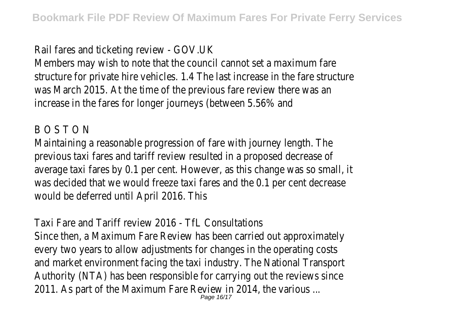## Rail fares and ticketing review - GOV.UK

Members may wish to note that the council cannot set a maximum fare structure for private hire vehicles. 1.4 The last increase in the fare structure was March 2015. At the time of the previous fare review there was an increase in the fares for longer journeys (between 5.56% and

### B O S T O N

Maintaining a reasonable progression of fare with journey length. The previous taxi fares and tariff review resulted in a proposed decrease of average taxi fares by 0.1 per cent. However, as this change was so small, it was decided that we would freeze taxi fares and the 0.1 per cent decrease would be deferred until April 2016. This

Taxi Fare and Tariff review 2016 - TfL Consultations Since then, a Maximum Fare Review has been carried out approximately every two years to allow adjustments for changes in the operating costs and market environment facing the taxi industry. The National Transport Authority (NTA) has been responsible for carrying out the reviews since 2011. As part of the Maximum Fare Review in 2014, the various ... Page 16/17